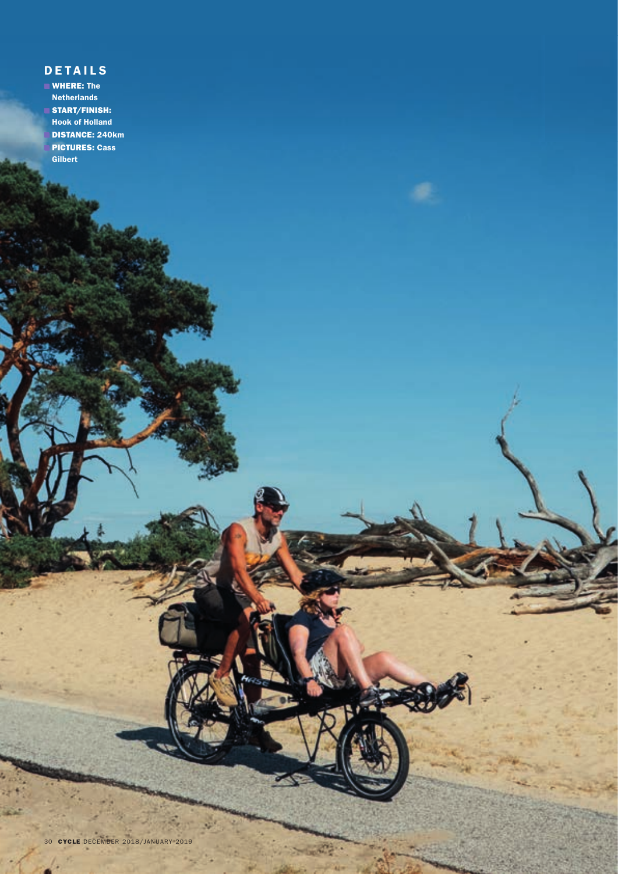## **DETAILS**

**WHERE: The** Netherlands START/FINISH: Hook of Holland DISTANCE: 240km PICTURES: Cass **Gilbert**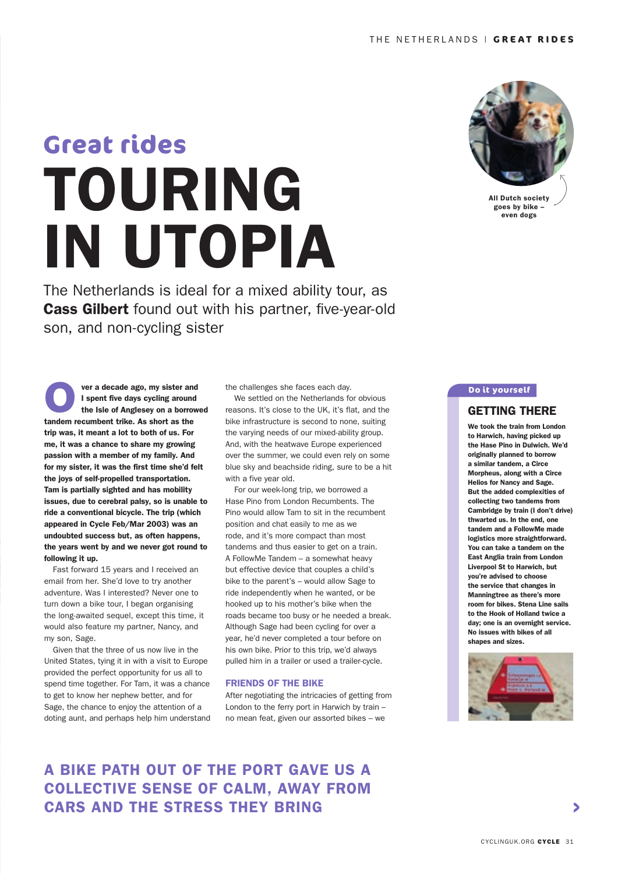# TOURING IN UTOPIA **Great rides**

The Netherlands is ideal for a mixed ability tour, as **Cass Gilbert** found out with his partner, five-year-old son, and non-cycling sister

**O**<br>
tandem recumbent trike. As short as the<br>
tandem recumbent trike. As short as the ver a decade ago, my sister and I spent five days cycling around the Isle of Anglesey on a borrowed trip was, it meant a lot to both of us. For me, it was a chance to share my growing passion with a member of my family. And for my sister, it was the first time she'd felt the joys of self-propelled transportation. Tam is partially sighted and has mobility issues, due to cerebral palsy, so is unable to ride a conventional bicycle. The trip (which appeared in Cycle Feb/Mar 2003) was an undoubted success but, as often happens, the years went by and we never got round to following it up.

 Fast forward 15 years and I received an email from her. She'd love to try another adventure. Was I interested? Never one to turn down a bike tour, I began organising the long-awaited sequel, except this time, it would also feature my partner, Nancy, and my son, Sage.

 Given that the three of us now live in the United States, tying it in with a visit to Europe provided the perfect opportunity for us all to spend time together. For Tam, it was a chance to get to know her nephew better, and for Sage, the chance to enjoy the attention of a doting aunt, and perhaps help him understand the challenges she faces each day.

 We settled on the Netherlands for obvious reasons. It's close to the UK, it's flat, and the bike infrastructure is second to none, suiting the varying needs of our mixed-ability group. And, with the heatwave Europe experienced over the summer, we could even rely on some blue sky and beachside riding, sure to be a hit with a five year old.

 For our week-long trip, we borrowed a Hase Pino from London Recumbents. The Pino would allow Tam to sit in the recumbent position and chat easily to me as we rode, and it's more compact than most tandems and thus easier to get on a train. A FollowMe Tandem – a somewhat heavy but effective device that couples a child's bike to the parent's – would allow Sage to ride independently when he wanted, or be hooked up to his mother's bike when the roads became too busy or he needed a break. Although Sage had been cycling for over a year, he'd never completed a tour before on his own bike. Prior to this trip, we'd always pulled him in a trailer or used a trailer-cycle.

#### FRIENDS OF THE BIKE

After negotiating the intricacies of getting from London to the ferry port in Harwich by train – no mean feat, given our assorted bikes – we

## A BIKE PATH OUT OF THE PORT GAVE US A COLLECTIVE SENSE OF CALM, AWAY FROM CARS AND THE STRESS THEY BRING



All Dutch society goes by bike – even dogs

#### **Do it yourself**

#### GETTING THERE

We took the train from London to Harwich, having picked up the Hase Pino in Dulwich. We'd originally planned to borrow a similar tandem, a Circe Morpheus, along with a Circe Helios for Nancy and Sage. But the added complexities of collecting two tandems from Cambridge by train (I don't drive) thwarted us. In the end, one tandem and a FollowMe made logistics more straightforward. You can take a tandem on the East Anglia train from London Liverpool St to Harwich, but you're advised to choose the service that changes in Manningtree as there's more room for bikes. Stena Line sails to the Hook of Holland twice a day; one is an overnight service. No issues with bikes of all shapes and sizes.

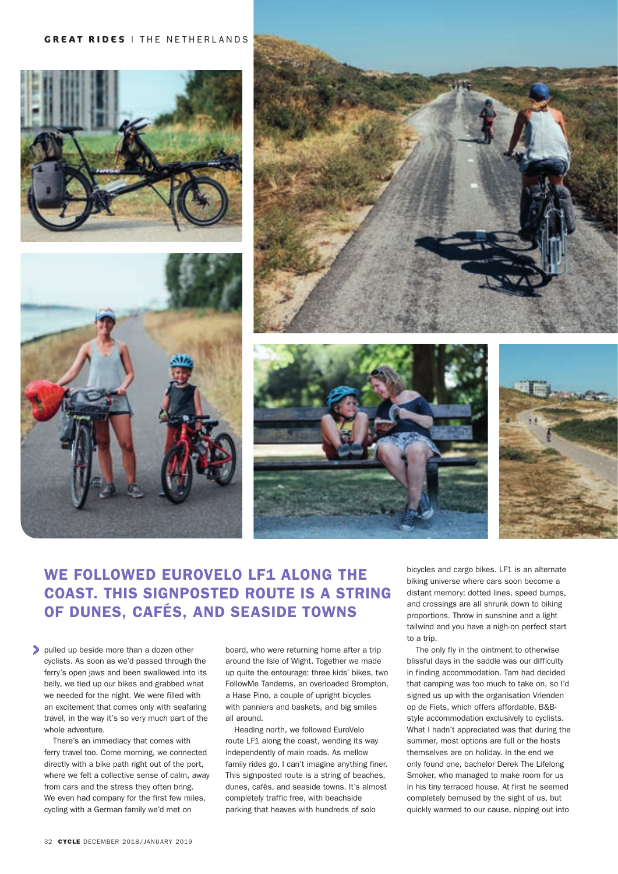









## WE FOLLOWED EUROVELO LF1 ALONG THE COAST. THIS SIGNPOSTED ROUTE IS A STRING OF DUNES, CAFÉS, AND SEASIDE TOWNS

pulled up beside more than a dozen other cyclists. As soon as we'd passed through the ferry's open jaws and been swallowed into its belly, we tied up our bikes and grabbed what we needed for the night. We were filled with an excitement that comes only with seafaring travel, in the way it's so very much part of the whole adventure.

There's an immediacy that comes with ferry travel too. Come morning, we connected directly with a bike path right out of the port, where we felt a collective sense of calm, away from cars and the stress they often bring. We even had company for the first few miles, cycling with a German family we'd met on

board, who were returning home after a trip around the Isle of Wight. Together we made up quite the entourage: three kids' bikes, two FollowMe Tandems, an overloaded Brompton, a Hase Pino, a couple of upright bicycles with panniers and baskets, and big smiles all around.

Heading north, we followed EuroVelo route LF1 along the coast, wending its way independently of main roads. As mellow family rides go, I can't imagine anything finer. This signposted route is a string of beaches, dunes, cafés, and seaside towns. It's almost completely traffic free, with beachside parking that heaves with hundreds of solo

bicycles and cargo bikes. LF1 is an alternate biking universe where cars soon become a distant memory; dotted lines, speed bumps, and crossings are all shrunk down to biking proportions. Throw in sunshine and a light tailwind and you have a nigh-on perfect start to a trip.

The only fly in the ointment to otherwise blissful days in the saddle was our difficulty in finding accommodation. Tam had decided that camping was too much to take on, so I'd signed us up with the organisation Vrienden op de Fiets, which offers affordable, B&Bstyle accommodation exclusively to cyclists. What I hadn't appreciated was that during the summer, most options are full or the hosts themselves are on holiday. In the end we only found one, bachelor Derek The Lifelong Smoker, who managed to make room for us in his tiny terraced house. At first he seemed completely bemused by the sight of us, but quickly warmed to our cause, nipping out into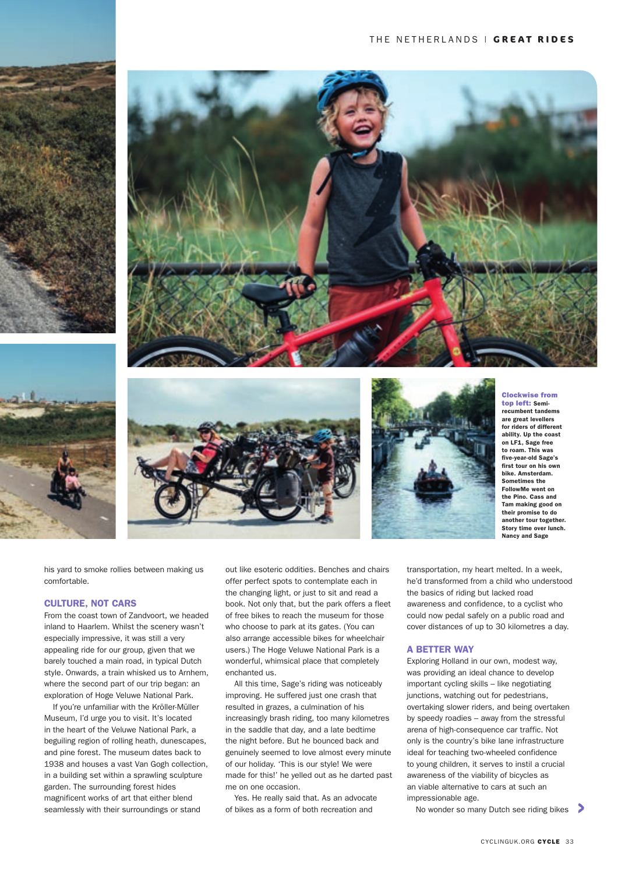









Clockwise from top left: Semi-

recumbent tandems are great levellers for riders of different ability. Up the coast on LF1, Sage free to roam. This was five-year-old Sage's first tour on his own bike. Amsterdam. Sometimes the FollowMe went on the Pino. Cass and Tam making good on their promise to do another tour together. Story time over lunch. Nancy and Sage

his yard to smoke rollies between making us comfortable.

#### CULTURE, NOT CARS

From the coast town of Zandvoort, we headed inland to Haarlem. Whilst the scenery wasn't especially impressive, it was still a very appealing ride for our group, given that we barely touched a main road, in typical Dutch style. Onwards, a train whisked us to Arnhem, where the second part of our trip began: an exploration of Hoge Veluwe National Park.

If you're unfamiliar with the Kröller-Müller Museum, I'd urge you to visit. It's located in the heart of the Veluwe National Park, a beguiling region of rolling heath, dunescapes, and pine forest. The museum dates back to 1938 and houses a vast Van Gogh collection, in a building set within a sprawling sculpture garden. The surrounding forest hides magnificent works of art that either blend seamlessly with their surroundings or stand

out like esoteric oddities. Benches and chairs offer perfect spots to contemplate each in the changing light, or just to sit and read a book. Not only that, but the park offers a fleet of free bikes to reach the museum for those who choose to park at its gates. (You can also arrange accessible bikes for wheelchair users.) The Hoge Veluwe National Park is a wonderful, whimsical place that completely enchanted us.

All this time, Sage's riding was noticeably improving. He suffered just one crash that resulted in grazes, a culmination of his increasingly brash riding, too many kilometres in the saddle that day, and a late bedtime the night before. But he bounced back and genuinely seemed to love almost every minute of our holiday. 'This is our style! We were made for this!' he yelled out as he darted past me on one occasion.

Yes. He really said that. As an advocate of bikes as a form of both recreation and

transportation, my heart melted. In a week, he'd transformed from a child who understood the basics of riding but lacked road awareness and confidence, to a cyclist who could now pedal safely on a public road and cover distances of up to 30 kilometres a day.

#### A BETTER WAY

Exploring Holland in our own, modest way, was providing an ideal chance to develop important cycling skills – like negotiating junctions, watching out for pedestrians, overtaking slower riders, and being overtaken by speedy roadies – away from the stressful arena of high-consequence car traffic. Not only is the country's bike lane infrastructure ideal for teaching two-wheeled confidence to young children, it serves to instil a crucial awareness of the viability of bicycles as an viable alternative to cars at such an impressionable age.

No wonder so many Dutch see riding bikes